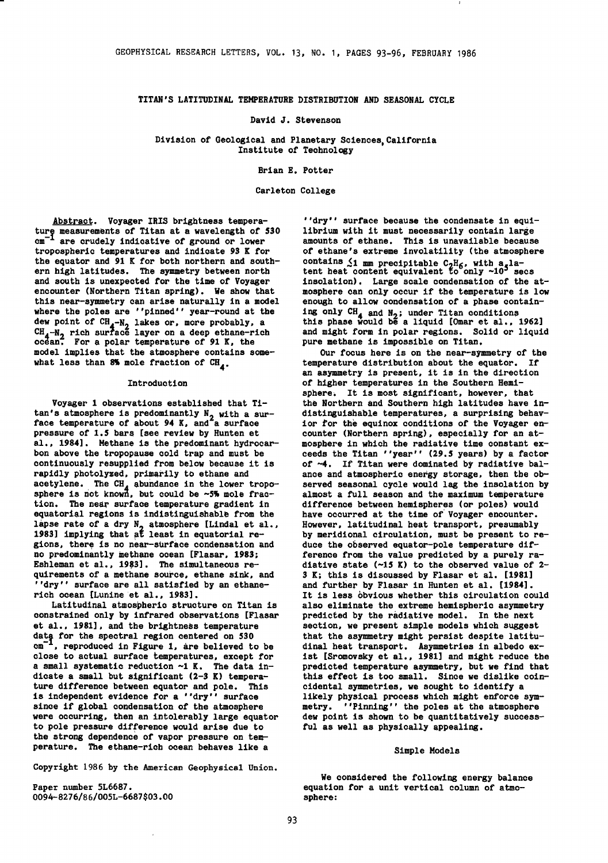### TITAN'S LATITUDINAL TEMPERATURE DISTRIBUTION AND SEASONAL CYCLE

#### David J. Stevenson

Division of Geological and Planetary Sciences, California Institute of Technology

Brian E. Potter

Carleton College

Abstract. Voyager IRIS brightness tempera ture measurements of Titan at a wavelength of 530  $c$ m $^{-1}$  are crudely indicative of ground or lower tropospheric temperatures and indicate *93* K for the equator and 91 K for both northern and southern high latitudes. The symmetry between north and south is unexpected for the time of Voyager encounter (Northern Titan spring). We show that this near-symmetry can arise naturally in a model where the poles are ''pinned'' year-round at the dew point of  $CH_4-N_2$  lakes or, more probably, a<br>CH<sub>4</sub>N<sub>2</sub> rich suntage layer or a deep athane-rich CH<sub>4</sub>-N<sub>2</sub> rich surface layer on a deep ethane-rich<br>ocean. For a polar temperature of 91 K, the model implies that the atmosphere contains somewhat less than 8% mole fraction of  $CH_{4}$ .

#### Introduction

Voyager 1 observations established that Ti- $\tan's$  atmosphere is predominantly  $N_2$  with a sur-<br>face temperature of about 94 K, and a surface pressure of 1,5 bars [see review by Hunten et al., 1984]. Methane is the predominant hydrocarbon above the tropopause cold trap and must be continuously resupplied from below because it is rapidly photolyzed, primarily to ethane and acetylene. The CH<sub>4</sub> abundance in the lower tropo-<br>sphere is not known, but could be ~5% mole fraction. The near surface temperature gradient in equatorial regions is indistinguishable from the lapse rate of a dry  $N_2$  atmosphere [Lindal et al., 1983] implying that at least in equatorial regions, there is no near-surface condensation and no predominantly methane ocean [Flasar, 1983; Eshleman et al., 1983]. The simultaneous requirements of a methane source, ethane sink, and ''dry'' surface are all satisfied by an ethanerich ocean [Lunine 'et al., 1983].

Latitudinal atmospheric structure on Titan is constrained only by infrared observations [Flasar et al., 1981], and the brightness temperature data for the spectral region centered on 530  $cm<sup>-1</sup>$ , reproduced in Figure 1, are believed to be close to actual surface temperatures, except for a small systematic reduction  $-1$  K. The data indicate a small but significant (2-3 K) temperature difference between equator and pole. This is independent evidence for a ''dry'' surface since if global condensation of the atmosphere were occurring, then an intolerably large equator to pole pressure difference would arise due to the strong dependence or vapor pressure on temperature. The ethane-rich ocean behaves like a

Copyright 1986 by the American Geophysical Union.

Paper number 5L6687. 0094-8276/86/00SL-6687\$03.00

''dry'' surface because the condensate in equilibrium with it must necessarily contain large amounts of ethane. This is unavailable because of ethane's extreme involatility (the atmosphere contains  $\leq 1$  mm precipitable  $C_2H_6$ , with a la-<br>tent heat content equivalent to only ~10<sup>5</sup> secs insolation). Large scale condensation of the atmosphere can only occur if the temperature is low enough to allow condensation of a phase containing only  $CH_4$  and  $N_2$ ; under Titan conditions this phase would be a liquid [Omar et al., 1962] and might form in polar regions. Solid or liquid pure methane is impossible on Titan,

OUr focus here is on the near-symmetry of the temperature distribution about the equator. If an asymmetry is present, it is in the direction of higher temperatures in the Southern Hemisphere. It is most significant, however, that the Northern and Southern high latitudes have indistinguishable temperatures, a surprising behavior for the equinox conditions of the Voyager encounter (Northern spring), especially for an atmosphere in which the radiative time constant exceeds the Titan ''year'' (29.5 years) by a factor of ~4. If Titan were dominated by radiative balance and atmospheric energy storage, then the observed seasonal cycle would lag the insolation by almost a full season and the maximum temperature difference between hemispheres (or poles) would have occurred at the time of Voyager encounter. However, latitudinal beat transport, presumably by meridional circulation, must be present to reduce the observed equator-pole temperature difference from the value predicted by a purely radiative state  $(-15 K)$  to the observed value of 2-*<sup>3</sup>*K; this is discussed by Flasar et al. [1981] and further by Flasar in Hunten et al, [1984], It is less obvious whether this circulation could also eliminate the extreme hemispheric asymmetry predicted by the radiative model. In the next section, we present simple models which suggest that the asymmetry might persist despite latitudinal heat transport. Asymmetries in albedo exist [Sromovsky et al., 1981] and might reduce the predicted temperature asymmetry, but we find that this effect is too small. Since we dislike coincidental symmetries, we sought to identify a likely physical process which might enforce symmetry. ''Pinning'' the poles at the atmosphere dew point is shown to be quantitatively successful as well as physically appealing.

### Simple Models

We considered the following energy balance equation for a unit vertical column of atmosphere: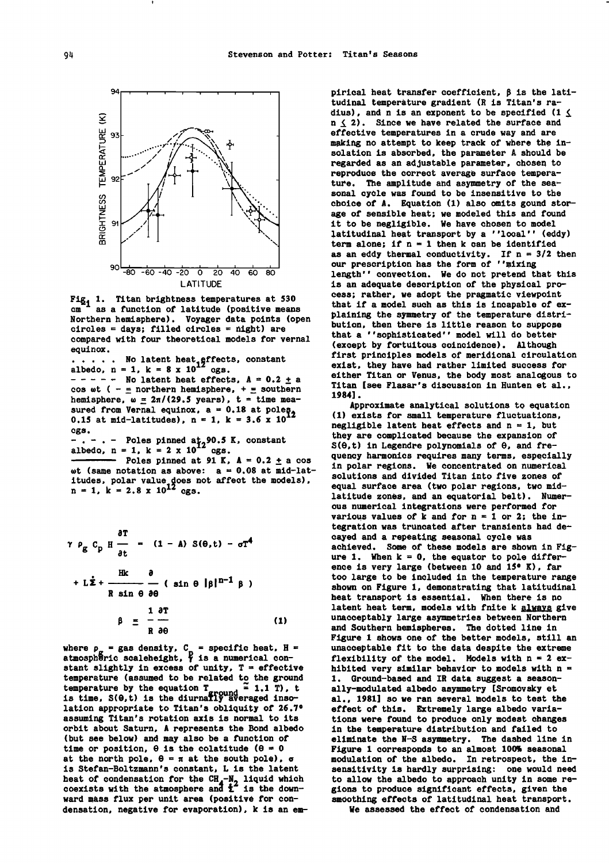

Fig<sub>1</sub> 1. Titan brightness temperatures at 530  $cm<sup>-1</sup>$  as a function of latitude (positive means Northern hemisphere). Voyager data points (open circles = days; filled circles = night) are compared with four theoretical models for vernal equinox.

 $\ldots$  . No latent heat effects, constant<br>albedo n = 1  $k = 8 \times 10^{12}$  egs albedo,  $n = 1$ ,  $k = 8 \times 10^{12}$  egs. albedo, n = 1, k = 8 x 10<sup>-2</sup> cgs.<br>- - - - - No latent heat effects, A = 0.2 <u>+</u> a cos wt (  $\pm$  northern hemisphere, +  $\pm$  southern hemisphere,  $\omega = 2\pi/(29.5 \text{ years})$ ,  $t =$  time meanemisphere,  $w = 2n$ ,  $2n - 1$ ,  $x = 0.18$  at poles 0.15 at mid-latitudes), n = 1, k = 3.6 x 10<sup>12</sup> cgs.

 $-$ .  $-$ .  $-$  Poles pinned at<sub>2</sub>90.5 K, constant albedo, n = 1, k = 2 x 10<sup>12</sup> cgs.

- Poles pinned at 91 K,  $A = 0.2 \pm a \cos$ wt (same notation as above:  $a = 0.08$  at mid-latitudes, polar value does not affect the models),  $n = 1$ ,  $k = 2.8 \times 10^{12}$  cgs.

$$
\gamma \rho_{g} C_{p} H \frac{\partial T}{\partial t} = (1 - A) S(\theta, t) - \sigma T^{4}
$$
  
+ L $\dot{\Sigma}$  +  $\frac{Hk}{R \sin \theta} \frac{\partial}{\partial \theta}$  ( sin  $\theta$  | $\beta$ | $n^{-1} \beta$ )  
 $\beta = \frac{1}{R} \frac{\partial T}{\partial \theta}$  (1)

where  $p_{\alpha} =$  gas density,  $C_{\alpha} =$  specific heat,  $H =$ <br>atmospheric scaleheight,  $\gamma$  is a numerical constant slightly in excess of unity,  $T =$  effective temperature (assumed to be related to the ground temperature (assumed to be related to the ground  $\frac{1}{2}$  1.1 T), the equation  $T_{ground} = 1.1$  T), the squation  $T_{ground} = 1.1$  T), the squation  $T_{ground} = 1.1$  T), the squation  $T_{ground} = 1.1$  T), the squation  $T_{ground} = 1.1$  T), the squat is time,  $S(\theta, t)$  is the diurnafly averaged insolation appropriate to Titan's obliquity of 26.7° assuming Titan's rotation axis is normal to its orbit about Saturn, A represents the Bond albedo (but see below) and may also be a function of time or position,  $\theta$  is the colatitude ( $\theta = 0$ at the north pole,  $\theta = \pi$  at the south pole),  $\sigma$ is Stefan-Boltzmann's constant, L is the latent heat of condensation for the CH<sub>4</sub>-N<sub>2</sub> liquid which coexists with the atmosphere and  $t^2$  is the downward mass flux per unit area (positive for condensation, negative for evaporation), k is an em-

pirical heat transfer coefficient,  $\beta$  is the latitudinal temperature gradient (R is Titan's ra-<br>dius), and n is an exponent to be specified (1  $\le$  $n \leq 2$ ). Since we have related the surface and effective temperatures in a crude way and are making no attempt to keep track of where the insolation is absorbed, the parameter A should be regarded as an adjustable parameter, chosen to reproduce the correct average surface temperature. The amplitude and asymmetry of the seasonal cycle was found to be insensitive to the choice of A. Equation (1) also omits gound storage of sensible heat; we modeled this and found it to be negligible. We have chosen to model latitudinal heat transport by a ''local'' (eddy) term alone; if  $n = 1$  then k can be identified as an eddy thermal conductivity. If n = 3/2 then our prescription bas the form of ''mixing length'' convection. We do not pretend that this is an adequate description of the physical process; rather, we adopt the pragmatic viewpoint that if a model such as this is incapable of explaining the symmetry of the temperature distribution, then there is little reason to suppose that a ''sophisticated'' model will do better (except by fortuitous coincidence). Although first principles models of meridional circulation exist, they have bad rather limited success for either Titan or Venus, the body most analogous to Titan [see Flasar's discussion in Bunten et al., 1984].

Approximate analytical solutions to equation (1) exists for small temperature fluctuations, negligible latent heat effects and  $n = 1$ , but they are complicated because the expansion of  $S(\theta, t)$  in Legendre polynomials of  $\theta$ , and frequency harmonics requires many terms, especially in polar regions. We concentrated on numerical solutions and divided Titan into five zones of equal surface area (two polar regions, two midlatitude zones, and an equatorial belt). Numerous numerical integrations were performed for various values of k and for  $n = 1$  or 2; the integration was truncated after transients bad decayed and a repeating seasonal cycle was achieved. Some of these models are shown in Figure 1. When  $k = 0$ , the equator to pole difference is very large (between 10 and 15° K), far too large to be included in the temperature range shown on Figure 1, demonstrating that latitudinal beat transport is essential. When there is no latent heat term, models with fnite k always give unacceptably large asymmetries between Northern and Southern hemispheres. The dotted line in Figure 1 shows one of the better models, still an unacceptable fit to the data despite the extreme flexibility of the model. Models with  $n = 2$  exhibited very similar behavior to models with  $n =$ 1. Ground-based and IR data suggest a seasonally-modulated albedo asymmetry [Sromovsky et al., 1981] so we ran several models to test the effect of this. Extremely large albedo variations were found to produce only modest changes in the temperature distribution and failed to eliminate the N-S asymmetry. The dashed line in Figure 1 corresponds to an almost 100% seasonal modulation of the albedo. In retrospect, the insensitivity is hardly surprising: one would need to allow the albedo to approach unity in some regions to produce significant effects, given the smoothins effects of latitudinal heat transport.

We assessed the effect of condensation and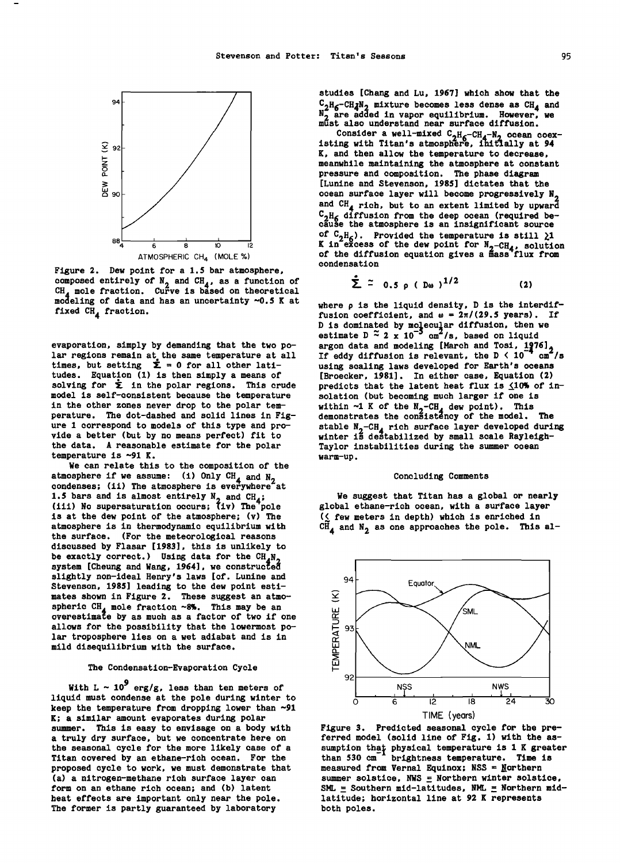

Figure 2. Dew point for a 1.5 bar atmosphere, composed entirely of  $N_2$  and  $CH_4$ , as a function of  $CH_4$ , as a function of CH<sub>4</sub> mole fraction. Curve is based on theoretical condition of data and healer upcontainty of  $5 \times 21$ modeling of data and has an uncertainty *-o.s* K at fixed CH<sub>4</sub> fraction.

evaporation, simply by demanding that the two polar regions remain at the same temperature at all times, but setting  $\dot{\Sigma} = 0$  for all other latitudes. Equation (1) is then simply a means of solving for  $\dot{\Sigma}$  in the polar regions. This crude model is self-consistent because the temperature in the other zones never drop to the polar temperature. The dot-dashed and solid lines in Fig- ure 1 correspond to models of this type and provide a better (but by no means perfect) fit to the data. A reasonable estimate for the polar temperature is  $\sim$ 91 K.

We can relate this to the composition of the atmosphere if we assume: (i) Only CH<sub>4</sub> and N<sub>2</sub> condenses; (ii) The atmosphere is everywhere at 1.5 bars and is almost entirely  $N_2$  and  $CH_4$ ;  $(iii)$  No supersaturation occurs;  $(iy)$  The pole is at the dew point of the atmosphere; (v) The atmosphere is in thermodynamic equilibrium with the surface. (For the meteorological reasons discussed by Flasar [1983], this is unlikely to be exactly correct.) Using data for the  $CH_A N_A$ system [Cheung and Wang, 1964], we constructed<br>slightly non-ideal Henry's laws [cf. Lunine and slightly non-ideal Henry's laws [cf. Lunine and Stevenson, 1985] leading to the dew point estimates shown in Figure 2. These suggest an atmo-<br>spheric  $CH_A$  mole fraction ~8%. This may be an overestimate by as much as a factor of two if one allows for the possibility that the lowermost polar troposphere lies on a wet adiabat and is in mild disequilibrium with the surface.

# The Condensation-Evaporation Cycle

With L  $\sim$  10<sup>9</sup> erg/g, less than ten meters of liquid must condense at the pole during winter to keep the temperature from dropping lower than  $-91$ K; a similar amount evaporates during polar<br>summer. This is easy to envisage on a body with<br>a truly dry surface, but we concentrate here on<br>the seasonal cycle for the more likely case of a<br>Titan covered by an ethane-rich o proposed cycle to work, we must demonstrate that (a) a nitrogen-methane rich surface layer can form on an ethane rich ocean; and (b) latent heat effects are important only near the pole. The former is partly guaranteed by laboratory

studies [Chang and Lu, 1967] which show that the  $-CH_{\mathcal{A}}N_{2}$  mixture becomes less dense as  $CH_{\mathcal{A}}$  and  $N_{2}^{2}$  are added in vapor equilibrium. However, we must also understand near surface diffusion.

Consider a well-mixed  $C_2H_6-CH_4-N_2$  ocean coex-<br>isting with Titan's atmosphere, initially at 94 K, and then allow the temperature to decrease, meanwhile maintaining the atmosphere at constant pressure and composition. The phase diagram<br>[Lunine and Stevenson, 1985] dictates that the ocean surface layer will become progressively N<sub>2</sub> and CH<sub>4</sub> rich, but to an extent limited by upward  $C_2H_6$  diffusion from the deep ocean (required be-<br>cause the atmosphere is an insignificant source of  $C_2H_6$ ). Provided the temperature is still  $\lambda$ 1<br>K in excess of the dev point for N ou solution K in excess of the dew point for  $N_2-CH_4$ , solution of the diffusion equation gives a mass flux from condensation<br> $\frac{1}{2}$  ~

$$
\sum_{\nu=0}^{n} \tilde{z} = 0.5 \rho (D\omega)^{1/2}
$$
 (2)

where p is the liquid density, D is the interdiffusion coefficient, and  $\omega = 2\pi/(29.5 \text{ years})$ . If D is dominated by molecular diffusion, then we estimate  $D \approx 2 \times 10^{-5}$  cm<sup>2</sup>/s, based on liquid argon data and modeling [March and Tosi, 1976],<br>If eddy diffusion is relevant, the D < 10<sup>-4</sup> cm<sup>2</sup>/s<br>using scaling laws developed for Earth's oceans [Broecker, 1981]. In either case, Equation (2) predicts that the latent heat flux is  $\leq 10\%$  of insolation (but becoming much larger if one is within  $\sim$ 1 K of the  $N_2$ -CH<sub>4</sub> dew point). This demonstrates the consistency of the model. The stable  $N_2$ -CH<sub>4</sub> rich surface layer developed during winter is destabilized by small scale Rayleigh-Taylor instabilities during the summer ocean warm-up.

#### Concluding Comments

We suggest that Titan has a global or nearly global ethane-rich ocean, with a surface layer  $($  few meters in depth) which is enriched in  $\widetilde{\text{CH}}_{4}$  and  $\text{N}_2$  as one approaches the pole. This al-



Figure *3.* Predicted seasonal cycle for the preferred model (solid line of Fig. 1) with the assumption that physical temperature is 1 K greater than 530 cm<sup>-1</sup> brightness temperature. Time is measured from Vernal Equinox; NSS = Northern summer solstice, NWS  $\equiv$  Northern winter solstice, SML = Southern mid-latitudes, NML = Northern midlatitude; horizontal line at 92 K represents both poles.